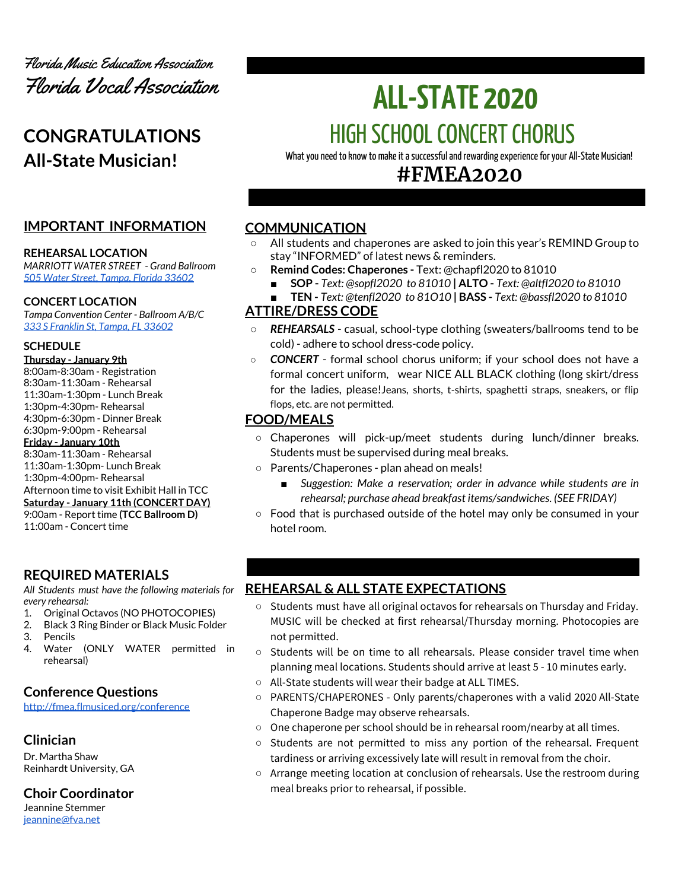

# **CONGRATULATIONS All-State Musician!**

## **IMPORTANT INFORMATION**

#### **REHEARSAL LOCATION**

*MARRIOTT WATER STREET - Grand Ballroom 505 Water Street, [Tampa,](https://www.marriott.com/hotels/maps/travel/tpamc-tampa-marriott-water-street/?maps) Florida 33602*

#### **CONCERT LOCATION**

*Tampa Convention Center - Ballroom A/B/C 333 S [Franklin](https://www.tampagov.net/tcc/location2) St, Tampa, FL 33602*

#### **SCHEDULE**

**Thursday - January 9th** 8:00am-8:30am - Registration 8:30am-11:30am - Rehearsal 11:30am-1:30pm - Lunch Break 1:30pm-4:30pm- Rehearsal 4:30pm-6:30pm - Dinner Break 6:30pm-9:00pm - Rehearsal **Friday - January 10th** 8:30am-11:30am - Rehearsal 11:30am-1:30pm- Lunch Break 1:30pm-4:00pm- Rehearsal Afternoon time to visit Exhibit Hall in TCC **Saturday - January 11th (CONCERT DAY)** 9:00am - Report time **(TCC Ballroom D)** 11:00am - Concert time

## **REQUIRED MATERIALS**

*All Students must have the following materials for every rehearsal:*

- 1. Original Octavos (NO PHOTOCOPIES)
- 2. Black 3 Ring Binder or Black Music Folder
- 3. Pencils
- 4. Water (ONLY WATER permitted in rehearsal)

## **Conference Questions**

<http://fmea.flmusiced.org/conference>

## **Clinician**

Dr. Martha Shaw Reinhardt University, GA

**Choir Coordinator**

Jeannine Stemmer [jeannine@fva.net](mailto:jeannine@fva.net)

# **ALL-STATE 2020** HIGH SCHOOL CONCERT CHORUS

What you need to know to make it a successful and rewarding experience for your All-State Musician!

## **#FMEA2020**

## **COMMUNICATION**

- **○** All students and chaperones are asked to join this year's REMIND Group to stay "INFORMED" of latest news & reminders.
	- **○ Remind Codes: Chaperones -** Text: @chapfl2020 to 81010
		- **■ SOP -** *Text: @sopfl2020 to 81010* **| ALTO -** *Text: @altfl2020 to 81010*
		- **■ TEN -** *Text: @tenfl2020 to 81O10* **| BASS -** *Text: @bassfl2020 to 81010*

## **ATTIRE/DRESS CODE**

- **REHEARSALS** casual, school-type clothing (sweaters/ballrooms tend to be cold) - adhere to school dress-code policy.
- *CONCERT* formal school chorus uniform; if your school does not have a formal concert uniform, wear NICE ALL BLACK clothing (long skirt/dress for the ladies, please!Jeans, shorts, t-shirts, spaghetti straps, sneakers, or flip flops, etc. are not permitted.

## **FOOD/MEALS**

- Chaperones will pick-up/meet students during lunch/dinner breaks. Students must be supervised during meal breaks.
- Parents/Chaperones plan ahead on meals!
	- *Suggestion: Make a reservation; order in advance while students are in rehearsal; purchase ahead breakfast items/sandwiches. (SEE FRIDAY)*
- Food that is purchased outside of the hotel may only be consumed in your hotel room.

## **REHEARSAL & ALL STATE EXPECTATIONS**

- Students must have all original octavos for rehearsals on Thursday and Friday. MUSIC will be checked at first rehearsal/Thursday morning. Photocopies are not permitted.
- Students will be on time to all rehearsals. Please consider travel time when planning meal locations. Students should arrive at least 5 - 10 minutes early.
- All-State students will wear their badge at ALL TIMES.
- PARENTS/CHAPERONES Only parents/chaperones with a valid 2020 All-State Chaperone Badge may observe rehearsals.
- One chaperone per school should be in rehearsal room/nearby at all times.
- Students are not permitted to miss any portion of the rehearsal. Frequent tardiness or arriving excessively late will result in removal from the choir.
- Arrange meeting location at conclusion of rehearsals. Use the restroom during meal breaks prior to rehearsal, if possible.